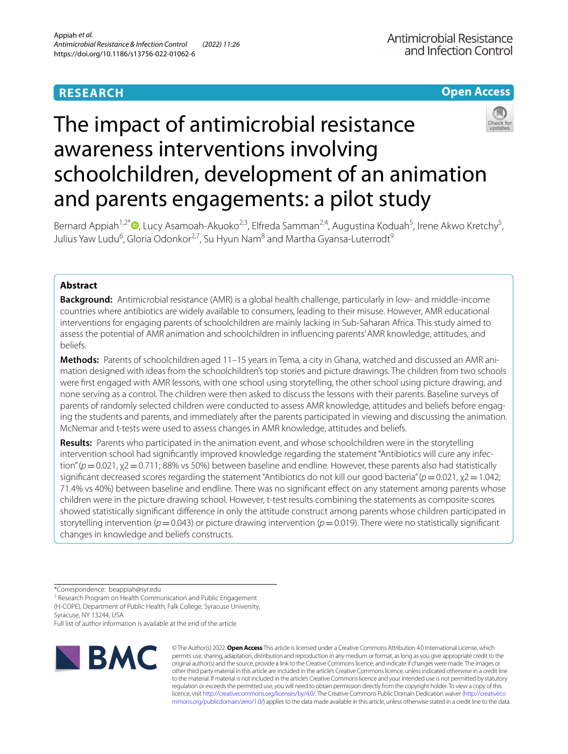# **RESEARCH**

## **Open Access**

# The impact of antimicrobial resistance awareness interventions involving schoolchildren, development of an animation and parents engagements: a pilot study



Bernard Appiah<sup>1,2\*</sup><sup>®</sup>[,](http://orcid.org/0000-0002-5473-3459) Lucy Asamoah-Akuoko<sup>2,3</sup>, Elfreda Samman<sup>2,4</sup>, Augustina Koduah<sup>5</sup>, Irene Akwo Kretchy<sup>5</sup>, Julius Yaw Ludu<sup>6</sup>, Gloria Odonkor<sup>2,7</sup>, Su Hyun Nam<sup>8</sup> and Martha Gyansa-Luterrodt<sup>9</sup>

### **Abstract**

**Background:** Antimicrobial resistance (AMR) is a global health challenge, particularly in low- and middle-income countries where antibiotics are widely available to consumers, leading to their misuse. However, AMR educational interventions for engaging parents of schoolchildren are mainly lacking in Sub-Saharan Africa. This study aimed to assess the potential of AMR animation and schoolchildren in infuencing parents' AMR knowledge, attitudes, and beliefs.

**Methods:** Parents of schoolchildren aged 11–15 years in Tema, a city in Ghana, watched and discussed an AMR ani‑ mation designed with ideas from the schoolchildren's top stories and picture drawings. The children from two schools were frst engaged with AMR lessons, with one school using storytelling, the other school using picture drawing, and none serving as a control. The children were then asked to discuss the lessons with their parents. Baseline surveys of parents of randomly selected children were conducted to assess AMR knowledge, attitudes and beliefs before engaging the students and parents, and immediately after the parents participated in viewing and discussing the animation. McNemar and t-tests were used to assess changes in AMR knowledge, attitudes and beliefs.

**Results:** Parents who participated in the animation event, and whose schoolchildren were in the storytelling intervention school had significantly improved knowledge regarding the statement "Antibiotics will cure any infection" (*p* = 0.021, χ2 = 0.711; 88% vs 50%) between baseline and endline. However, these parents also had statistically signifcant decreased scores regarding the statement "Antibiotics do not kill our good bacteria" (*p*=0.021, χ2=1.042; 71.4% vs 40%) between baseline and endline. There was no signifcant efect on any statement among parents whose children were in the picture drawing school. However, t-test results combining the statements as composite scores showed statistically signifcant diference in only the attitude construct among parents whose children participated in storytelling intervention ( $p=0.043$ ) or picture drawing intervention ( $p=0.019$ ). There were no statistically significant changes in knowledge and beliefs constructs.

\*Correspondence: beappiah@syr.edu

<sup>1</sup> Research Program on Health Communication and Public Engagement (H‑COPE), Department of Public Health, Falk College, Syracuse University, Syracuse, NY 13244, USA

Full list of author information is available at the end of the article



© The Author(s) 2022. **Open Access** This article is licensed under a Creative Commons Attribution 4.0 International License, which permits use, sharing, adaptation, distribution and reproduction in any medium or format, as long as you give appropriate credit to the original author(s) and the source, provide a link to the Creative Commons licence, and indicate if changes were made. The images or other third party material in this article are included in the article's Creative Commons licence, unless indicated otherwise in a credit line to the material. If material is not included in the article's Creative Commons licence and your intended use is not permitted by statutory regulation or exceeds the permitted use, you will need to obtain permission directly from the copyright holder. To view a copy of this licence, visit [http://creativecommons.org/licenses/by/4.0/.](http://creativecommons.org/licenses/by/4.0/) The Creative Commons Public Domain Dedication waiver ([http://creativeco](http://creativecommons.org/publicdomain/zero/1.0/) [mmons.org/publicdomain/zero/1.0/](http://creativecommons.org/publicdomain/zero/1.0/)) applies to the data made available in this article, unless otherwise stated in a credit line to the data.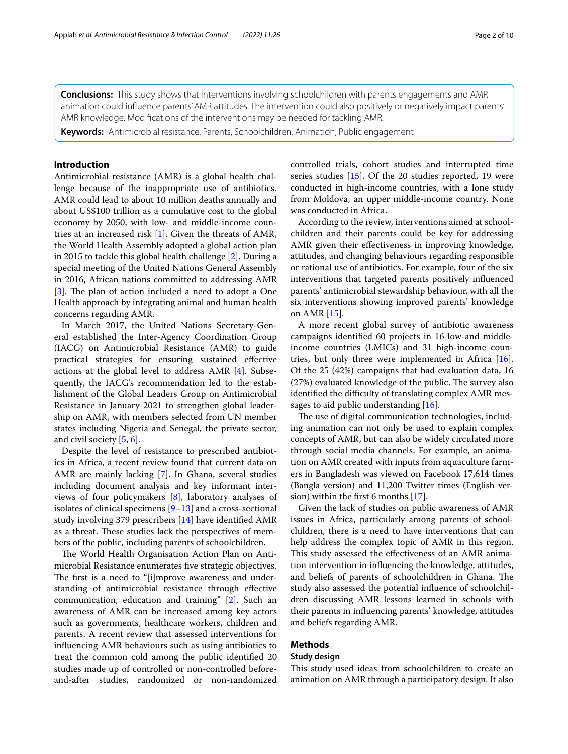**Conclusions:** This study shows that interventions involving schoolchildren with parents engagements and AMR animation could infuence parents' AMR attitudes. The intervention could also positively or negatively impact parents' AMR knowledge. Modifcations of the interventions may be needed for tackling AMR.

**Keywords:** Antimicrobial resistance, Parents, Schoolchildren, Animation, Public engagement

#### **Introduction**

Antimicrobial resistance (AMR) is a global health challenge because of the inappropriate use of antibiotics. AMR could lead to about 10 million deaths annually and about US\$100 trillion as a cumulative cost to the global economy by 2050, with low- and middle-income countries at an increased risk [[1](#page-9-0)]. Given the threats of AMR, the World Health Assembly adopted a global action plan in 2015 to tackle this global health challenge [[2\]](#page-9-1). During a special meeting of the United Nations General Assembly in 2016, African nations committed to addressing AMR [[3\]](#page-9-2). The plan of action included a need to adopt a One Health approach by integrating animal and human health concerns regarding AMR.

In March 2017, the United Nations Secretary-General established the Inter-Agency Coordination Group (IACG) on Antimicrobial Resistance (AMR) to guide practical strategies for ensuring sustained efective actions at the global level to address AMR [[4](#page-9-3)]. Subsequently, the IACG's recommendation led to the establishment of the Global Leaders Group on Antimicrobial Resistance in January 2021 to strengthen global leadership on AMR, with members selected from UN member states including Nigeria and Senegal, the private sector, and civil society [\[5](#page-9-4), [6\]](#page-9-5).

Despite the level of resistance to prescribed antibiotics in Africa, a recent review found that current data on AMR are mainly lacking [[7](#page-9-6)]. In Ghana, several studies including document analysis and key informant interviews of four policymakers [[8](#page-9-7)], laboratory analyses of isolates of clinical specimens  $[9-13]$  $[9-13]$  $[9-13]$  and a cross-sectional study involving 379 prescribers [[14\]](#page-9-10) have identifed AMR as a threat. These studies lack the perspectives of members of the public, including parents of schoolchildren.

The World Health Organisation Action Plan on Antimicrobial Resistance enumerates fve strategic objectives. The first is a need to "[i]mprove awareness and understanding of antimicrobial resistance through efective communication, education and training" [[2\]](#page-9-1). Such an awareness of AMR can be increased among key actors such as governments, healthcare workers, children and parents. A recent review that assessed interventions for infuencing AMR behaviours such as using antibiotics to treat the common cold among the public identifed 20 studies made up of controlled or non-controlled beforeand-after studies, randomized or non-randomized controlled trials, cohort studies and interrupted time series studies [\[15](#page-9-11)]. Of the 20 studies reported, 19 were conducted in high-income countries, with a lone study from Moldova, an upper middle-income country. None was conducted in Africa.

According to the review, interventions aimed at schoolchildren and their parents could be key for addressing AMR given their efectiveness in improving knowledge, attitudes, and changing behaviours regarding responsible or rational use of antibiotics. For example, four of the six interventions that targeted parents positively infuenced parents' antimicrobial stewardship behaviour, with all the six interventions showing improved parents' knowledge on AMR [[15](#page-9-11)].

A more recent global survey of antibiotic awareness campaigns identifed 60 projects in 16 low-and middleincome countries (LMICs) and 31 high-income countries, but only three were implemented in Africa [\[16](#page-9-12)]. Of the 25 (42%) campaigns that had evaluation data, 16 (27%) evaluated knowledge of the public. The survey also identified the difficulty of translating complex AMR mes-sages to aid public understanding [\[16](#page-9-12)].

The use of digital communication technologies, including animation can not only be used to explain complex concepts of AMR, but can also be widely circulated more through social media channels. For example, an animation on AMR created with inputs from aquaculture farmers in Bangladesh was viewed on Facebook 17,614 times (Bangla version) and 11,200 Twitter times (English version) within the frst 6 months [[17](#page-9-13)].

Given the lack of studies on public awareness of AMR issues in Africa, particularly among parents of schoolchildren, there is a need to have interventions that can help address the complex topic of AMR in this region. This study assessed the effectiveness of an AMR animation intervention in infuencing the knowledge, attitudes, and beliefs of parents of schoolchildren in Ghana. The study also assessed the potential infuence of schoolchildren discussing AMR lessons learned in schools with their parents in infuencing parents' knowledge, attitudes and beliefs regarding AMR.

#### **Methods**

#### **Study design**

This study used ideas from schoolchildren to create an animation on AMR through a participatory design. It also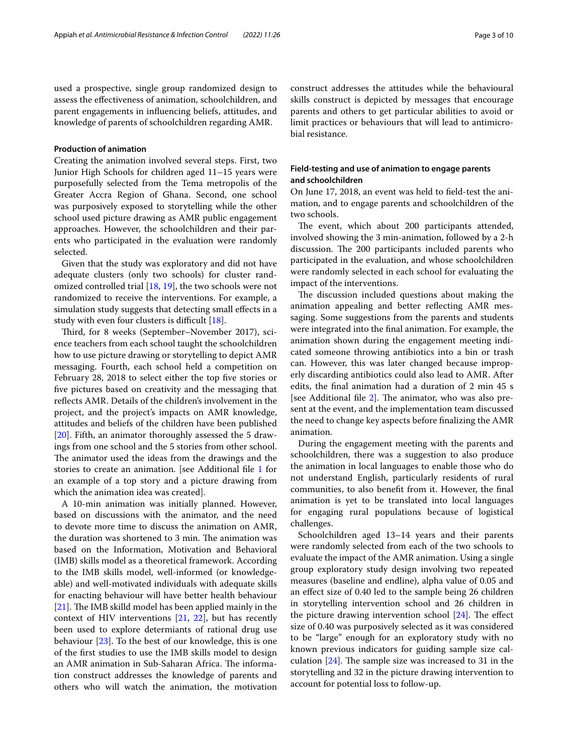used a prospective, single group randomized design to assess the efectiveness of animation, schoolchildren, and parent engagements in infuencing beliefs, attitudes, and knowledge of parents of schoolchildren regarding AMR.

#### **Production of animation**

Creating the animation involved several steps. First, two Junior High Schools for children aged 11–15 years were purposefully selected from the Tema metropolis of the Greater Accra Region of Ghana. Second, one school was purposively exposed to storytelling while the other school used picture drawing as AMR public engagement approaches. However, the schoolchildren and their parents who participated in the evaluation were randomly selected.

Given that the study was exploratory and did not have adequate clusters (only two schools) for cluster randomized controlled trial [\[18](#page-9-14), [19\]](#page-9-15), the two schools were not randomized to receive the interventions. For example, a simulation study suggests that detecting small effects in a study with even four clusters is difficult  $[18]$ .

Third, for 8 weeks (September–November 2017), science teachers from each school taught the schoolchildren how to use picture drawing or storytelling to depict AMR messaging. Fourth, each school held a competition on February 28, 2018 to select either the top five stories or fve pictures based on creativity and the messaging that refects AMR. Details of the children's involvement in the project, and the project's impacts on AMR knowledge, attitudes and beliefs of the children have been published [[20\]](#page-9-16). Fifth, an animator thoroughly assessed the 5 drawings from one school and the 5 stories from other school. The animator used the ideas from the drawings and the stories to create an animation. [see Additional fle [1](#page-8-0) for an example of a top story and a picture drawing from which the animation idea was created].

A 10-min animation was initially planned. However, based on discussions with the animator, and the need to devote more time to discuss the animation on AMR, the duration was shortened to 3 min. The animation was based on the Information, Motivation and Behavioral (IMB) skills model as a theoretical framework. According to the IMB skills model, well-informed (or knowledgeable) and well-motivated individuals with adequate skills for enacting behaviour will have better health behaviour  $[21]$  $[21]$ . The IMB skilld model has been applied mainly in the context of HIV interventions [[21,](#page-9-17) [22\]](#page-9-18), but has recently been used to explore determiants of rational drug use behaviour [[23](#page-9-19)]. To the best of our knowledge, this is one of the frst studies to use the IMB skills model to design an AMR animation in Sub-Saharan Africa. The information construct addresses the knowledge of parents and others who will watch the animation, the motivation construct addresses the attitudes while the behavioural skills construct is depicted by messages that encourage parents and others to get particular abilities to avoid or limit practices or behaviours that will lead to antimicrobial resistance.

#### **Field‑testing and use of animation to engage parents and schoolchildren**

On June 17, 2018, an event was held to feld-test the animation, and to engage parents and schoolchildren of the two schools.

The event, which about 200 participants attended, involved showing the 3 min-animation, followed by a 2-h discussion. The 200 participants included parents who participated in the evaluation, and whose schoolchildren were randomly selected in each school for evaluating the impact of the interventions.

The discussion included questions about making the animation appealing and better refecting AMR messaging. Some suggestions from the parents and students were integrated into the fnal animation. For example, the animation shown during the engagement meeting indicated someone throwing antibiotics into a bin or trash can. However, this was later changed because improperly discarding antibiotics could also lead to AMR. After edits, the fnal animation had a duration of 2 min 45 s [see Additional file  $2$ ]. The animator, who was also present at the event, and the implementation team discussed the need to change key aspects before fnalizing the AMR animation.

During the engagement meeting with the parents and schoolchildren, there was a suggestion to also produce the animation in local languages to enable those who do not understand English, particularly residents of rural communities, to also beneft from it. However, the fnal animation is yet to be translated into local languages for engaging rural populations because of logistical challenges.

Schoolchildren aged 13–14 years and their parents were randomly selected from each of the two schools to evaluate the impact of the AMR animation. Using a single group exploratory study design involving two repeated measures (baseline and endline), alpha value of 0.05 and an efect size of 0.40 led to the sample being 26 children in storytelling intervention school and 26 children in the picture drawing intervention school  $[24]$  $[24]$ . The effect size of 0.40 was purposively selected as it was considered to be "large" enough for an exploratory study with no known previous indicators for guiding sample size calculation  $[24]$ . The sample size was increased to 31 in the storytelling and 32 in the picture drawing intervention to account for potential loss to follow-up.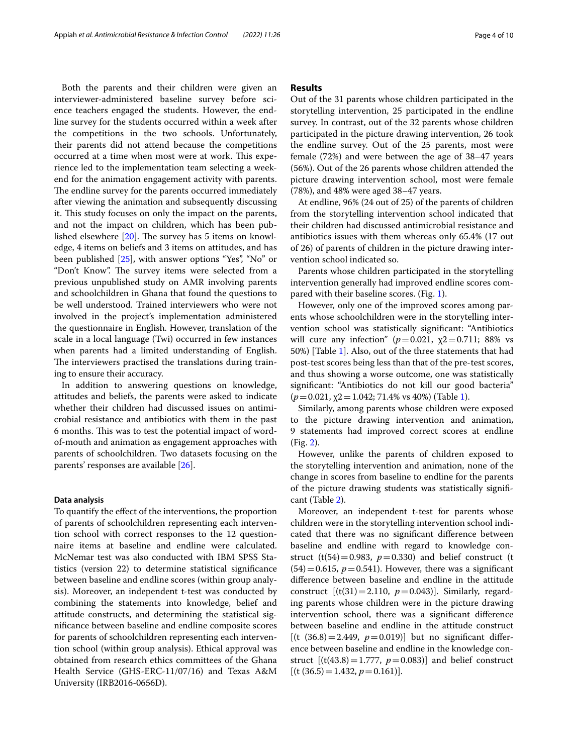Both the parents and their children were given an interviewer-administered baseline survey before science teachers engaged the students. However, the endline survey for the students occurred within a week after the competitions in the two schools. Unfortunately, their parents did not attend because the competitions occurred at a time when most were at work. This experience led to the implementation team selecting a weekend for the animation engagement activity with parents. The endline survey for the parents occurred immediately after viewing the animation and subsequently discussing it. This study focuses on only the impact on the parents, and not the impact on children, which has been published elsewhere  $[20]$  $[20]$ . The survey has 5 items on knowledge, 4 items on beliefs and 3 items on attitudes, and has been published [[25](#page-9-21)], with answer options "Yes", "No" or "Don't Know". The survey items were selected from a previous unpublished study on AMR involving parents and schoolchildren in Ghana that found the questions to be well understood. Trained interviewers who were not involved in the project's implementation administered the questionnaire in English. However, translation of the scale in a local language (Twi) occurred in few instances when parents had a limited understanding of English. The interviewers practised the translations during training to ensure their accuracy.

In addition to answering questions on knowledge, attitudes and beliefs, the parents were asked to indicate whether their children had discussed issues on antimicrobial resistance and antibiotics with them in the past 6 months. This was to test the potential impact of wordof-mouth and animation as engagement approaches with parents of schoolchildren. Two datasets focusing on the parents' responses are available [[26](#page-9-22)].

#### **Data analysis**

To quantify the efect of the interventions, the proportion of parents of schoolchildren representing each intervention school with correct responses to the 12 questionnaire items at baseline and endline were calculated. McNemar test was also conducted with IBM SPSS Statistics (version 22) to determine statistical signifcance between baseline and endline scores (within group analysis). Moreover, an independent t-test was conducted by combining the statements into knowledge, belief and attitude constructs, and determining the statistical signifcance between baseline and endline composite scores for parents of schoolchildren representing each intervention school (within group analysis). Ethical approval was obtained from research ethics committees of the Ghana Health Service (GHS-ERC-11/07/16) and Texas A&M University (IRB2016-0656D).

#### **Results**

Out of the 31 parents whose children participated in the storytelling intervention, 25 participated in the endline survey. In contrast, out of the 32 parents whose children participated in the picture drawing intervention, 26 took the endline survey. Out of the 25 parents, most were female (72%) and were between the age of 38–47 years (56%). Out of the 26 parents whose children attended the picture drawing intervention school, most were female (78%), and 48% were aged 38–47 years.

At endline, 96% (24 out of 25) of the parents of children from the storytelling intervention school indicated that their children had discussed antimicrobial resistance and antibiotics issues with them whereas only 65.4% (17 out of 26) of parents of children in the picture drawing intervention school indicated so.

Parents whose children participated in the storytelling intervention generally had improved endline scores compared with their baseline scores. (Fig. [1](#page-4-0)).

However, only one of the improved scores among parents whose schoolchildren were in the storytelling intervention school was statistically signifcant: "Antibiotics will cure any infection"  $(p=0.021, \chi_2=0.711; 88\%$  vs 50%) [Table [1](#page-5-0)]. Also, out of the three statements that had post-test scores being less than that of the pre-test scores, and thus showing a worse outcome, one was statistically signifcant: "Antibiotics do not kill our good bacteria" (*p*=0.021, χ2=1.042; 71.4% vs 40%) (Table [1\)](#page-5-0).

Similarly, among parents whose children were exposed to the picture drawing intervention and animation, 9 statements had improved correct scores at endline (Fig. [2\)](#page-6-0).

However, unlike the parents of children exposed to the storytelling intervention and animation, none of the change in scores from baseline to endline for the parents of the picture drawing students was statistically signifcant (Table [2](#page-7-0)).

Moreover, an independent t-test for parents whose children were in the storytelling intervention school indicated that there was no signifcant diference between baseline and endline with regard to knowledge construct (t(54)=0.983,  $p=0.330$ ) and belief construct (t  $(54)=0.615$ ,  $p=0.541$ ). However, there was a significant diference between baseline and endline in the attitude construct  $[(t(31)=2.110, p=0.043)]$ . Similarly, regarding parents whose children were in the picture drawing intervention school, there was a signifcant diference between baseline and endline in the attitude construct  $[(t (36.8) = 2.449, p = 0.019)]$  but no significant difference between baseline and endline in the knowledge construct  $[(t(43.8) = 1.777, p = 0.083)]$  and belief construct  $[(t (36.5)=1.432, p=0.161)].$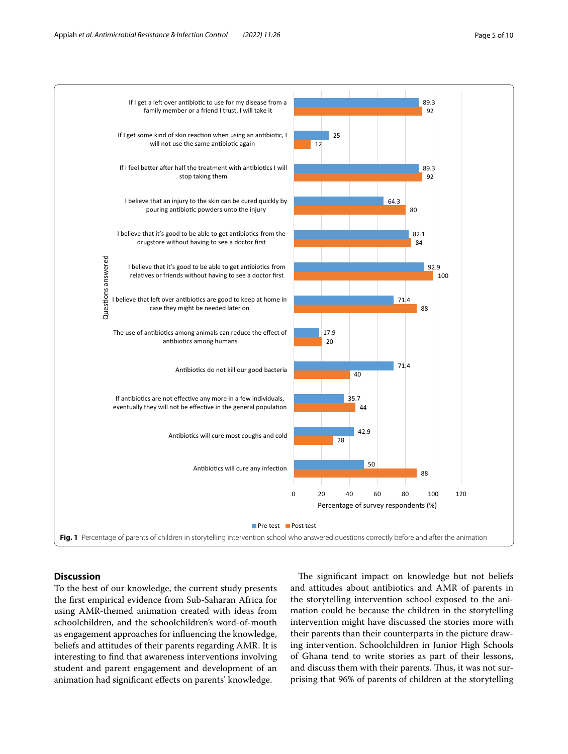

#### <span id="page-4-0"></span>**Discussion**

To the best of our knowledge, the current study presents the frst empirical evidence from Sub-Saharan Africa for using AMR-themed animation created with ideas from schoolchildren, and the schoolchildren's word-of-mouth as engagement approaches for infuencing the knowledge, beliefs and attitudes of their parents regarding AMR. It is interesting to fnd that awareness interventions involving student and parent engagement and development of an animation had signifcant efects on parents' knowledge.

The significant impact on knowledge but not beliefs and attitudes about antibiotics and AMR of parents in the storytelling intervention school exposed to the animation could be because the children in the storytelling intervention might have discussed the stories more with their parents than their counterparts in the picture drawing intervention. Schoolchildren in Junior High Schools of Ghana tend to write stories as part of their lessons, and discuss them with their parents. Thus, it was not surprising that 96% of parents of children at the storytelling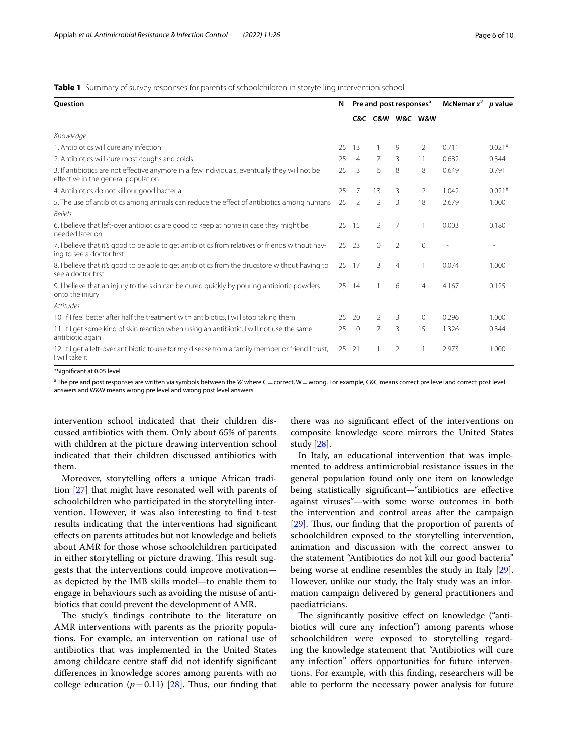<span id="page-5-0"></span>**Table 1** Summary of survey responses for parents of schoolchildren in storytelling intervention school

| Question                                                                                                                             | N  | Pre and post responses <sup>a</sup> |          |                 |                | McNemar $x^2$ <i>p</i> value |                          |
|--------------------------------------------------------------------------------------------------------------------------------------|----|-------------------------------------|----------|-----------------|----------------|------------------------------|--------------------------|
|                                                                                                                                      |    |                                     |          | C&C C&W W&C W&W |                |                              |                          |
| Knowledge                                                                                                                            |    |                                     |          |                 |                |                              |                          |
| 1. Antibiotics will cure any infection                                                                                               | 25 | 13                                  |          | 9               | 2              | 0.711                        | $0.021*$                 |
| 2. Antibiotics will cure most coughs and colds                                                                                       | 25 | $\overline{4}$                      | 7        | 3               | 11             | 0.682                        | 0.344                    |
| 3. If antibiotics are not effective anymore in a few individuals, eventually they will not be<br>effective in the general population | 25 | 3                                   | 6        | 8               | 8              | 0.649                        | 0.791                    |
| 4. Antibiotics do not kill our good bacteria                                                                                         | 25 | 7                                   | 13       | 3               | 2              | 1.042                        | $0.021*$                 |
| 5. The use of antibiotics among animals can reduce the effect of antibiotics among humans                                            | 25 | 2                                   | 2        | 3               | 18             | 2.679                        | 1.000                    |
| <b>Beliefs</b>                                                                                                                       |    |                                     |          |                 |                |                              |                          |
| 6. I believe that left-over antibiotics are good to keep at home in case they might be<br>needed later on                            | 25 | -15                                 | 2        | 7               | 1              | 0.003                        | 0.180                    |
| 7. I believe that it's good to be able to get antibiotics from relatives or friends without hav-<br>ing to see a doctor first        | 25 | -23                                 | $\Omega$ | 2               | $\mathbf{0}$   | $\overline{\phantom{a}}$     | $\overline{\phantom{a}}$ |
| 8. I believe that it's good to be able to get antibiotics from the drugstore without having to<br>see a doctor first                 | 25 | 17                                  | 3        | $\overline{4}$  | 1              | 0.074                        | 1.000                    |
| 9. I believe that an injury to the skin can be cured quickly by pouring antibiotic powders<br>onto the injury                        | 25 | 14                                  |          | 6               | $\overline{4}$ | 4.167                        | 0.125                    |
| Attitudes                                                                                                                            |    |                                     |          |                 |                |                              |                          |
| 10. If I feel better after half the treatment with antibiotics, I will stop taking them                                              | 25 | 20                                  | 2        | 3               | 0              | 0.296                        | 1.000                    |
| 11. If I get some kind of skin reaction when using an antibiotic, I will not use the same<br>antibiotic again                        | 25 | $\mathbf{0}$                        | 7        | 3               | 15             | 1.326                        | 0.344                    |
| 12. If I get a left-over antibiotic to use for my disease from a family member or friend I trust,<br>I will take it                  | 25 | 21                                  |          | $\overline{2}$  | 1              | 2.973                        | 1.000                    |

\*Signifcant at 0.05 level

 $^{\rm a}$  The pre and post responses are written via symbols between the '&' where C $=$  correct, W $=$  wrong. For example, C&C means correct pre level and correct post level answers and W&W means wrong pre level and wrong post level answers

intervention school indicated that their children discussed antibiotics with them. Only about 65% of parents with children at the picture drawing intervention school indicated that their children discussed antibiotics with them.

Moreover, storytelling offers a unique African tradition [[27](#page-9-23)] that might have resonated well with parents of schoolchildren who participated in the storytelling intervention. However, it was also interesting to fnd t-test results indicating that the interventions had signifcant efects on parents attitudes but not knowledge and beliefs about AMR for those whose schoolchildren participated in either storytelling or picture drawing. This result suggests that the interventions could improve motivation as depicted by the IMB skills model—to enable them to engage in behaviours such as avoiding the misuse of antibiotics that could prevent the development of AMR.

The study's findings contribute to the literature on AMR interventions with parents as the priority populations. For example, an intervention on rational use of antibiotics that was implemented in the United States among childcare centre staf did not identify signifcant diferences in knowledge scores among parents with no college education  $(p=0.11)$  [[28](#page-9-24)]. Thus, our finding that

there was no signifcant efect of the interventions on composite knowledge score mirrors the United States study [\[28](#page-9-24)].

In Italy, an educational intervention that was implemented to address antimicrobial resistance issues in the general population found only one item on knowledge being statistically signifcant—"antibiotics are efective against viruses"—with some worse outcomes in both the intervention and control areas after the campaign [[29\]](#page-9-25). Thus, our finding that the proportion of parents of schoolchildren exposed to the storytelling intervention, animation and discussion with the correct answer to the statement "Antibiotics do not kill our good bacteria" being worse at endline resembles the study in Italy [\[29](#page-9-25)]. However, unlike our study, the Italy study was an information campaign delivered by general practitioners and paediatricians.

The significantly positive effect on knowledge ("antibiotics will cure any infection") among parents whose schoolchildren were exposed to storytelling regarding the knowledge statement that "Antibiotics will cure any infection" offers opportunities for future interventions. For example, with this fnding, researchers will be able to perform the necessary power analysis for future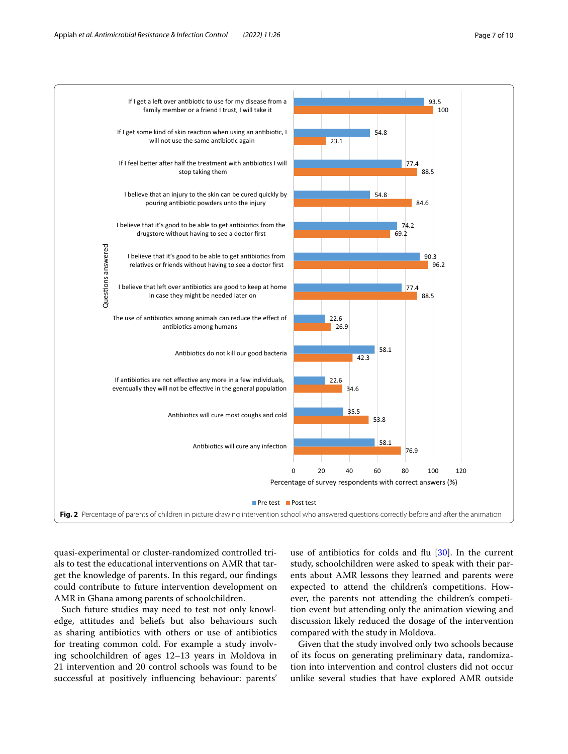

<span id="page-6-0"></span>quasi-experimental or cluster-randomized controlled trials to test the educational interventions on AMR that target the knowledge of parents. In this regard, our fndings could contribute to future intervention development on AMR in Ghana among parents of schoolchildren.

Such future studies may need to test not only knowledge, attitudes and beliefs but also behaviours such as sharing antibiotics with others or use of antibiotics for treating common cold. For example a study involving schoolchildren of ages 12–13 years in Moldova in 21 intervention and 20 control schools was found to be successful at positively infuencing behaviour: parents'

use of antibiotics for colds and flu [\[30](#page-9-26)]. In the current study, schoolchildren were asked to speak with their parents about AMR lessons they learned and parents were expected to attend the children's competitions. However, the parents not attending the children's competition event but attending only the animation viewing and discussion likely reduced the dosage of the intervention compared with the study in Moldova.

Given that the study involved only two schools because of its focus on generating preliminary data, randomization into intervention and control clusters did not occur unlike several studies that have explored AMR outside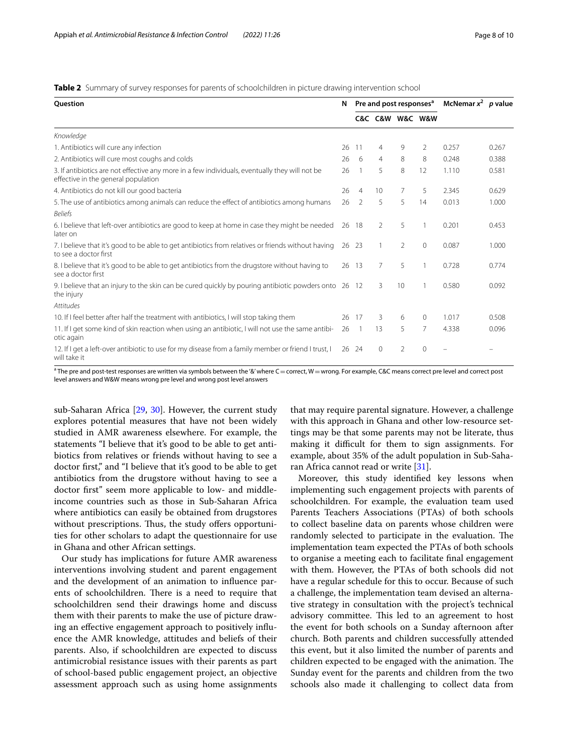<span id="page-7-0"></span>**Table 2** Summary of survey responses for parents of schoolchildren in picture drawing intervention school

| <b>Ouestion</b>                                                                                                                       | N  | Pre and post responses <sup>a</sup> |          |    |                 | McNemar $x^2$ <i>p</i> value |       |
|---------------------------------------------------------------------------------------------------------------------------------------|----|-------------------------------------|----------|----|-----------------|------------------------------|-------|
|                                                                                                                                       |    |                                     |          |    | C&C C&W W&C W&W |                              |       |
| Knowledge                                                                                                                             |    |                                     |          |    |                 |                              |       |
| 1. Antibiotics will cure any infection                                                                                                | 26 | 11                                  | 4        | 9  | 2               | 0.257                        | 0.267 |
| 2. Antibiotics will cure most coughs and colds                                                                                        | 26 | - 6                                 | 4        | 8  | 8               | 0.248                        | 0.388 |
| 3. If antibiotics are not effective any more in a few individuals, eventually they will not be<br>effective in the general population | 26 |                                     | 5        | 8  | 12              | 1.110                        | 0.581 |
| 4. Antibiotics do not kill our good bacteria                                                                                          | 26 | $\overline{4}$                      | 10       | 7  | 5               | 2.345                        | 0.629 |
| 5. The use of antibiotics among animals can reduce the effect of antibiotics among humans                                             | 26 | $\mathcal{P}$                       | 5        | 5  | 14              | 0.013                        | 1.000 |
| <b>Beliefs</b>                                                                                                                        |    |                                     |          |    |                 |                              |       |
| 6. I believe that left-over antibiotics are good to keep at home in case they might be needed<br>later on                             | 26 | - 18                                | 2        | 5  | 1               | 0.201                        | 0.453 |
| 7. I believe that it's good to be able to get antibiotics from relatives or friends without having<br>to see a doctor first           | 26 | - 23                                |          | 2  | $\mathbf{0}$    | 0.087                        | 1.000 |
| 8. I believe that it's good to be able to get antibiotics from the drugstore without having to<br>see a doctor first                  | 26 | -13                                 | 7        | 5  | 1               | 0.728                        | 0.774 |
| 9. I believe that an injury to the skin can be cured quickly by pouring antibiotic powders onto 26 12<br>the injury                   |    |                                     | 3        | 10 | 1               | 0.580                        | 0.092 |
| <b>Attitudes</b>                                                                                                                      |    |                                     |          |    |                 |                              |       |
| 10. If I feel better after half the treatment with antibiotics, I will stop taking them                                               | 26 | 17                                  | 3        | 6  | $\Omega$        | 1.017                        | 0.508 |
| 11. If I get some kind of skin reaction when using an antibiotic, I will not use the same antibi-<br>otic again                       | 26 |                                     | 13       | 5  | $\overline{7}$  | 4.338                        | 0.096 |
| 12. If I get a left-over antibiotic to use for my disease from a family member or friend I trust, I<br>will take it                   |    | 26 24                               | $\Omega$ | 2  | $\overline{0}$  |                              |       |

 $^{\rm a}$  The pre and post-test responses are written via symbols between the '&' where C $=$  correct, W $=$  wrong. For example, C&C means correct pre level and correct post level answers and W&W means wrong pre level and wrong post level answers

sub-Saharan Africa [[29](#page-9-25), [30\]](#page-9-26). However, the current study explores potential measures that have not been widely studied in AMR awareness elsewhere. For example, the statements "I believe that it's good to be able to get antibiotics from relatives or friends without having to see a doctor frst," and "I believe that it's good to be able to get antibiotics from the drugstore without having to see a doctor frst" seem more applicable to low- and middleincome countries such as those in Sub-Saharan Africa where antibiotics can easily be obtained from drugstores without prescriptions. Thus, the study offers opportunities for other scholars to adapt the questionnaire for use in Ghana and other African settings.

Our study has implications for future AMR awareness interventions involving student and parent engagement and the development of an animation to infuence parents of schoolchildren. There is a need to require that schoolchildren send their drawings home and discuss them with their parents to make the use of picture drawing an efective engagement approach to positively infuence the AMR knowledge, attitudes and beliefs of their parents. Also, if schoolchildren are expected to discuss antimicrobial resistance issues with their parents as part of school-based public engagement project, an objective assessment approach such as using home assignments that may require parental signature. However, a challenge with this approach in Ghana and other low-resource settings may be that some parents may not be literate, thus making it difficult for them to sign assignments. For example, about 35% of the adult population in Sub-Saharan Africa cannot read or write [\[31\]](#page-9-27).

Moreover, this study identifed key lessons when implementing such engagement projects with parents of schoolchildren. For example, the evaluation team used Parents Teachers Associations (PTAs) of both schools to collect baseline data on parents whose children were randomly selected to participate in the evaluation. The implementation team expected the PTAs of both schools to organise a meeting each to facilitate fnal engagement with them. However, the PTAs of both schools did not have a regular schedule for this to occur. Because of such a challenge, the implementation team devised an alternative strategy in consultation with the project's technical advisory committee. This led to an agreement to host the event for both schools on a Sunday afternoon after church. Both parents and children successfully attended this event, but it also limited the number of parents and children expected to be engaged with the animation. The Sunday event for the parents and children from the two schools also made it challenging to collect data from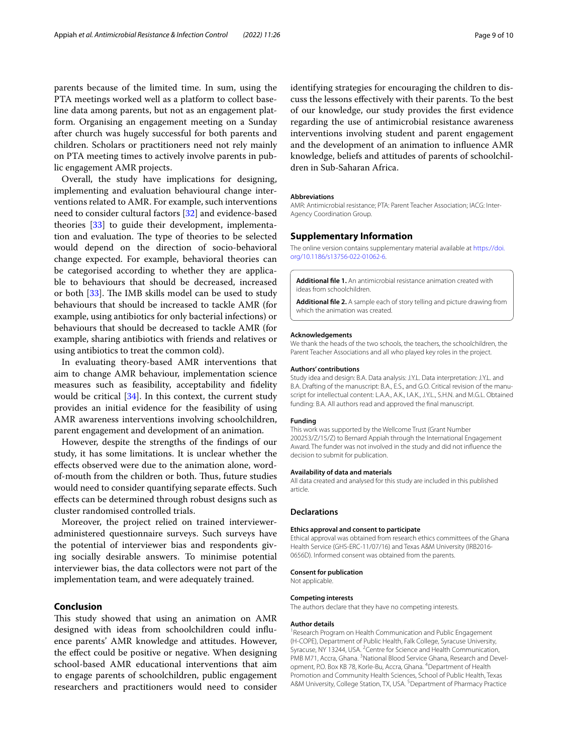parents because of the limited time. In sum, using the PTA meetings worked well as a platform to collect baseline data among parents, but not as an engagement platform. Organising an engagement meeting on a Sunday after church was hugely successful for both parents and children. Scholars or practitioners need not rely mainly on PTA meeting times to actively involve parents in public engagement AMR projects.

Overall, the study have implications for designing, implementing and evaluation behavioural change interventions related to AMR. For example, such interventions need to consider cultural factors [[32](#page-9-28)] and evidence-based theories [\[33](#page-9-29)] to guide their development, implementation and evaluation. The type of theories to be selected would depend on the direction of socio-behavioral change expected. For example, behavioral theories can be categorised according to whether they are applicable to behaviours that should be decreased, increased or both [\[33\]](#page-9-29). The IMB skills model can be used to study behaviours that should be increased to tackle AMR (for example, using antibiotics for only bacterial infections) or behaviours that should be decreased to tackle AMR (for example, sharing antibiotics with friends and relatives or using antibiotics to treat the common cold).

In evaluating theory-based AMR interventions that aim to change AMR behaviour, implementation science measures such as feasibility, acceptability and fdelity would be critical [\[34](#page-9-30)]. In this context, the current study provides an initial evidence for the feasibility of using AMR awareness interventions involving schoolchildren, parent engagement and development of an animation.

However, despite the strengths of the fndings of our study, it has some limitations. It is unclear whether the efects observed were due to the animation alone, wordof-mouth from the children or both. Thus, future studies would need to consider quantifying separate efects. Such efects can be determined through robust designs such as cluster randomised controlled trials.

Moreover, the project relied on trained intervieweradministered questionnaire surveys. Such surveys have the potential of interviewer bias and respondents giving socially desirable answers. To minimise potential interviewer bias, the data collectors were not part of the implementation team, and were adequately trained.

#### **Conclusion**

This study showed that using an animation on AMR designed with ideas from schoolchildren could infuence parents' AMR knowledge and attitudes. However, the efect could be positive or negative. When designing school-based AMR educational interventions that aim to engage parents of schoolchildren, public engagement researchers and practitioners would need to consider identifying strategies for encouraging the children to discuss the lessons efectively with their parents. To the best of our knowledge, our study provides the frst evidence regarding the use of antimicrobial resistance awareness interventions involving student and parent engagement and the development of an animation to infuence AMR knowledge, beliefs and attitudes of parents of schoolchildren in Sub-Saharan Africa.

#### **Abbreviations**

AMR: Antimicrobial resistance; PTA: Parent Teacher Association; IACG: Inter-Agency Coordination Group.

#### **Supplementary Information**

The online version contains supplementary material available at [https://doi.](https://doi.org/10.1186/s13756-022-01062-6) [org/10.1186/s13756-022-01062-6](https://doi.org/10.1186/s13756-022-01062-6).

<span id="page-8-1"></span><span id="page-8-0"></span>**Additional fle 1.** An antimicrobial resistance animation created with ideas from schoolchildren.

**Additional fle 2.** A sample each of story telling and picture drawing from which the animation was created.

#### **Acknowledgements**

We thank the heads of the two schools, the teachers, the schoolchildren, the Parent Teacher Associations and all who played key roles in the project.

#### **Authors' contributions**

Study idea and design: B.A. Data analysis: J.Y.L. Data interpretation: J.Y.L. and B.A. Drafting of the manuscript: B.A., E.S., and G.O. Critical revision of the manuscript for intellectual content: L.A.A., A.K., I.A.K., J.Y.L., S.H.N. and M.G.L. Obtained funding: B.A. All authors read and approved the fnal manuscript.

#### **Funding**

This work was supported by the Wellcome Trust (Grant Number 200253/Z/15/Z) to Bernard Appiah through the International Engagement Award. The funder was not involved in the study and did not infuence the decision to submit for publication.

#### **Availability of data and materials**

All data created and analysed for this study are included in this published article.

#### **Declarations**

#### **Ethics approval and consent to participate**

Ethical approval was obtained from research ethics committees of the Ghana Health Service (GHS-ERC-11/07/16) and Texas A&M University (IRB2016-0656D). Informed consent was obtained from the parents.

#### **Consent for publication**

Not applicable.

#### **Competing interests**

The authors declare that they have no competing interests.

#### **Author details**

<sup>1</sup> Research Program on Health Communication and Public Engagement (H‑COPE), Department of Public Health, Falk College, Syracuse University, Syracuse, NY 13244, USA. <sup>2</sup> Centre for Science and Health Communication, PMB M71, Accra, Ghana. <sup>3</sup>National Blood Service Ghana, Research and Development, P.O. Box KB 78, Korle-Bu, Accra, Ghana. <sup>4</sup> Department of Health Promotion and Community Health Sciences, School of Public Health, Texas A&M University, College Station, TX, USA.<sup>5</sup> Department of Pharmacy Practice